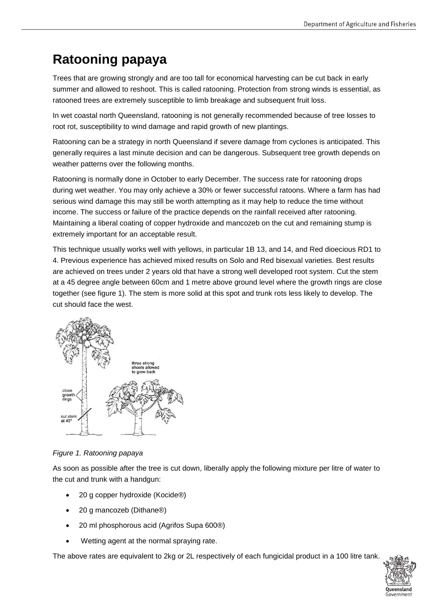## **Ratooning papaya**

Trees that are growing strongly and are too tall for economical harvesting can be cut back in early summer and allowed to reshoot. This is called ratooning. Protection from strong winds is essential, as ratooned trees are extremely susceptible to limb breakage and subsequent fruit loss.

In wet coastal north Queensland, ratooning is not generally recommended because of tree losses to root rot, susceptibility to wind damage and rapid growth of new plantings.

Ratooning can be a strategy in north Queensland if severe damage from cyclones is anticipated. This generally requires a last minute decision and can be dangerous. Subsequent tree growth depends on weather patterns over the following months.

Ratooning is normally done in October to early December. The success rate for ratooning drops during wet weather. You may only achieve a 30% or fewer successful ratoons. Where a farm has had serious wind damage this may still be worth attempting as it may help to reduce the time without income. The success or failure of the practice depends on the rainfall received after ratooning. Maintaining a liberal coating of copper hydroxide and mancozeb on the cut and remaining stump is extremely important for an acceptable result.

This technique usually works well with yellows, in particular 1B 13, and 14, and Red dioecious RD1 to 4. Previous experience has achieved mixed results on Solo and Red bisexual varieties. Best results are achieved on trees under 2 years old that have a strong well developed root system. Cut the stem at a 45 degree angle between 60cm and 1 metre above ground level where the growth rings are close together (see figure 1). The stem is more solid at this spot and trunk rots less likely to develop. The cut should face the west.



*Figure 1. Ratooning papaya*

As soon as possible after the tree is cut down, liberally apply the following mixture per litre of water to the cut and trunk with a handgun:

- 20 g copper hydroxide (Kocide®)
- 20 g mancozeb (Dithane®)
- 20 ml phosphorous acid (Agrifos Supa 600®)
- Wetting agent at the normal spraying rate.

The above rates are equivalent to 2kg or 2L respectively of each fungicidal product in a 100 litre tank.